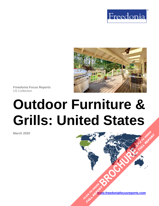



**Freedonia Focus Reports** US Collection

# **Outdoor Furniture & Grills: United States**

**March 2020**

**[www.freedoniafocusreports.com](https://www.freedoniafocusreports.com/redirect.asp?progid=89534&url=/)** CLICK TO ORDER **FULL REPORT** 

**[BROCHURE](https://www.freedoniafocusreports.com/Outdoor-Furniture-Grills-United-States-FF90033/?progid=89541) AND READY** 

**FULL REPORT**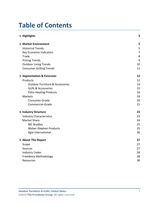# **Table of Contents**

| 1. Highlights                              | 3              |
|--------------------------------------------|----------------|
| 2. Market Environment                      | 5              |
| <b>Historical Trends</b>                   | 5              |
| Key Economic Indicators                    | $\overline{7}$ |
| Trade                                      | 8              |
| <b>Pricing Trends</b>                      | 9              |
| <b>Outdoor Living Trends</b>               | 10             |
| <b>Consumer Grilling Trends</b>            | 11             |
| 3. Segmentation & Forecasts                | 12             |
| Products                                   | 12             |
| <b>Outdoor Furniture &amp; Accessories</b> | 14             |
| <b>Grills &amp; Accessories</b>            | 15             |
| <b>Patio Heating Products</b>              | 16             |
| Markets                                    | 18             |
| Consumer-Grade                             | 20             |
| Commercial-Grade                           | 21             |
| 4. Industry Structure                      | 23             |
| <b>Industry Characteristics</b>            | 23             |
| <b>Market Share</b>                        | 24             |
| <b>WC Bradley</b>                          | 25             |
| Weber-Stephen Products                     | 25             |
| Agio International                         | 26             |
| 5. About This Report                       | 27             |
| Scope                                      | 27             |
| Sources                                    | 27             |
| <b>Industry Codes</b>                      | 28             |
| Freedonia Methodology                      | 28             |
| <b>Resources</b>                           | 30             |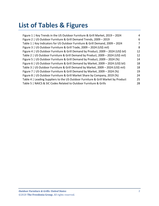# **List of Tables & Figures**

| Figure 1   Key Trends in the US Outdoor Furniture & Grill Market, 2019 - 2024     | 4  |
|-----------------------------------------------------------------------------------|----|
| Figure 2   US Outdoor Furniture & Grill Demand Trends, 2009 - 2019                | 6  |
| Table 1   Key Indicators for US Outdoor Furniture & Grill Demand, 2009 - 2024     | 7  |
| Figure 3   US Outdoor Furniture & Grill Trade, 2009 - 2024 (US\$ mil)             | 8  |
| Figure 4   US Outdoor Furniture & Grill Demand by Product, 2009 - 2024 (US\$ bil) | 12 |
| Table 2   US Outdoor Furniture & Grill Demand by Product, 2009 - 2024 (US\$ mil)  | 12 |
| Figure 5   US Outdoor Furniture & Grill Demand by Product, 2009 - 2024 (%)        | 14 |
| Figure 6   US Outdoor Furniture & Grill Demand by Market, 2009 - 2024 (US\$ bil)  | 18 |
| Table 3   US Outdoor Furniture & Grill Demand by Market, 2009 - 2024 (US\$ mil)   | 18 |
| Figure 7   US Outdoor Furniture & Grill Demand by Market, 2009 - 2024 (%)         | 19 |
| Figure 8   US Outdoor Furniture & Grill Market Share by Company, 2019 (%)         | 24 |
| Table 4   Leading Suppliers to the US Outdoor Furniture & Grill Market by Product | 25 |
| Table 5   NAICS & SIC Codes Related to Outdoor Furniture & Grills                 | 28 |
|                                                                                   |    |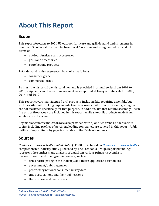# <span id="page-3-0"></span>**About This Report**

## <span id="page-3-1"></span>**Scope**

This report forecasts to 2024 US outdoor furniture and grill demand and shipments in nominal US dollars at the manufacturer level. Total demand is segmented by product in terms of:

- outdoor furniture and accessories
- grills and accessories
- patio heating products

Total demand is also segmented by market as follows:

- consumer-grade
- commercial-grade

To illustrate historical trends, total demand is provided in annual series from 2009 to 2019; shipments and the various segments are reported at five-year intervals for 2009, 2014, and 2019.

This report covers manufactured grill products, including kits requiring assembly, but excludes site-built cooking implements like pizza ovens built from bricks and grating that are not marketed specifically for that purpose. In addition, kits that require assembly – as in fire pits or fireplaces – are included in this report, while site-built products made from scratch are not covered.

Key macroeconomic indicators are also provided with quantified trends. Other various topics, including profiles of pertinent leading companies, are covered in this report. A full outline of report items by page is available in the Table of Contents.

## <span id="page-3-2"></span>**Sources**

*Outdoor Furniture & Grills: United States* (FF90033) is based on *[Outdoor Furniture & Grills,](http://www.freedoniagroup.com/DocumentDetails.aspx?ReferrerId=FL-FOCUS&studyid=3811)* a comprehensive industry study published by The Freedonia Group. Reported findings represent the synthesis and analysis of data from various primary, secondary, macroeconomic, and demographic sources, such as:

- firms participating in the industry, and their suppliers and customers
- government/public agencies
- proprietary national consumer survey data
- trade associations and their publications
- the business and trade press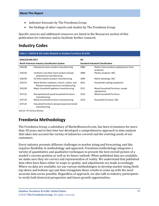- indicator forecasts by The Freedonia Group
- the findings of other reports and studies by The Freedonia Group

Specific sources and additional resources are listed in the Resources section of this publication for reference and to facilitate further research.

## <span id="page-4-0"></span>**Industry Codes**

<span id="page-4-2"></span>

| <b>NAICS/SCIAN 2017</b><br><b>North American Industry Classification System</b> |                                                                                           | <b>SIC</b>                                |                                                       |
|---------------------------------------------------------------------------------|-------------------------------------------------------------------------------------------|-------------------------------------------|-------------------------------------------------------|
|                                                                                 |                                                                                           | <b>Standard Industrial Classification</b> |                                                       |
| 326140                                                                          | Polystyrene foam product manufacturing                                                    | 3086                                      | Plastics foam products (polystyrene foam<br>products) |
| 326150                                                                          | Urethane and other foam product (except<br>polystyrene) manufacturing                     | 3089                                      | Plastics products, NEC                                |
| 326199                                                                          | All other plastics product manufacturing                                                  | 3469                                      | Metal stampings, NEC                                  |
| 332215                                                                          | Metal kitchen cookware, utensil, cutlery, and<br>flatware (except precious) manufacturing | 3631                                      | Household cooking equipment                           |
| 335220                                                                          | Major household appliance manufacturing                                                   | 2511                                      | Wood household furniture, except<br>upholstered       |
| 337122                                                                          | Nonupholstered wood household furniture<br>manufacturing                                  | 2514                                      | Metal household furniture                             |
| 337124                                                                          | Metal household furniture manufacturing                                                   | 2519                                      | Household furniture, NEC                              |
| 337125                                                                          | Household furniture (except wood and metal)<br>manufacturing                              |                                           |                                                       |

Source: US Census Bureau

# <span id="page-4-1"></span>**Freedonia Methodology**

The Freedonia Group, a subsidiary of MarketResearch.com, has been in business for more than 30 years and in that time has developed a comprehensive approach to data analysis that takes into account the variety of industries covered and the evolving needs of our customers.

Every industry presents different challenges in market sizing and forecasting, and this requires flexibility in methodology and approach. Freedonia methodology integrates a variety of quantitative and qualitative techniques to present the best overall picture of a market's current position as well as its future outlook: When published data are available, we make sure they are correct and representative of reality. We understand that published data often have flaws either in scope or quality, and adjustments are made accordingly. Where no data are available, we use various methodologies to develop market sizing (both top-down and bottom-up) and then triangulate those results to come up with the most accurate data series possible. Regardless of approach, we also talk to industry participants to verify both historical perspective and future growth opportunities.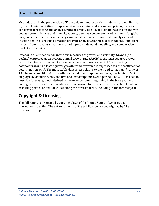#### **About This Report**

Methods used in the preparation of Freedonia market research include, but are not limited to, the following activities: comprehensive data mining and evaluation, primary research, consensus forecasting and analysis, ratio analysis using key indicators, regression analysis, end use growth indices and intensity factors, purchase power parity adjustments for global data, consumer and end user surveys, market share and corporate sales analysis, product lifespan analysis, product or market life cycle analysis, graphical data modeling, long-term historical trend analysis, bottom-up and top-down demand modeling, and comparative market size ranking.

Freedonia quantifies trends in various measures of growth and volatility. Growth (or decline) expressed as an average annual growth rate (AAGR) is the least squares growth rate, which takes into account all available datapoints over a period. The volatility of datapoints around a least squares growth trend over time is expressed via the coefficient of determination, or  $r^2$ . The most stable data series relative to the trend carries an  $r^2$  value of 1.0; the most volatile – 0.0. Growth calculated as a compound annual growth rate (CAGR) employs, by definition, only the first and last datapoints over a period. The CAGR is used to describe forecast growth, defined as the expected trend beginning in the base year and ending in the forecast year. Readers are encouraged to consider historical volatility when assessing particular annual values along the forecast trend, including in the forecast year.

## **Copyright & Licensing**

The full report is protected by copyright laws of the United States of America and international treaties. The entire contents of the publication are copyrighted by The Freedonia Group.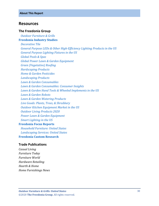#### <span id="page-6-0"></span>**Resources**

#### **The Freedonia Group**

 *[Outdoor Furniture & Grills](http://www.freedoniagroup.com/DocumentDetails.aspx?ReferrerId=FL-FOCUS&studyid=3811)* **[Freedonia Industry Studies](http://www.freedoniagroup.com/Home.aspx?ReferrerId=FL-Focus)** *[Decorative Tile](https://www.freedoniagroup.com/DocumentDetails.aspx?ReferrerId=FL-FOCUS&StudyId=3697) [General Purpose LEDs & Other High-Efficiency Lighting Products in the US](https://www.freedoniagroup.com/DocumentDetails.aspx?ReferrerId=FL-FOCUS&StudyId=3611) [General Purpose Lighting Fixtures in the US](https://www.freedoniagroup.com/DocumentDetails.aspx?ReferrerId=FL-FOCUS&StudyId=3637) [Global Pools & Spas](https://www.freedoniagroup.com/DocumentDetails.aspx?ReferrerId=FL-FOCUS&StudyId=3778) [Global Power Lawn & Garden Equipment](https://www.freedoniagroup.com/DocumentDetails.aspx?ReferrerId=FL-FOCUS&StudyId=3747) [Green \(Vegetative\) Roofing](https://www.freedoniagroup.com/DocumentDetails.aspx?ReferrerId=FL-FOCUS&StudyId=3679) [Hardscaping Products](https://www.freedoniagroup.com/DocumentDetails.aspx?ReferrerId=FL-FOCUS&StudyId=3795) [Home & Garden Pesticides](https://www.freedoniagroup.com/DocumentDetails.aspx?ReferrerId=FL-FOCUS&StudyId=3700) [Landscaping Products](https://www.freedoniagroup.com/DocumentDetails.aspx?ReferrerId=FL-FOCUS&StudyId=3738) [Lawn & Garden Consumables](https://www.freedoniagroup.com/DocumentDetails.aspx?ReferrerId=FL-FOCUS&StudyId=3755) [Lawn & Garden Consumables: Consumer Insights](https://www.freedoniagroup.com/DocumentDetails.aspx?ReferrerId=FL-FOCUS&StudyId=3661) [Lawn & Garden Hand Tools & Wheeled Implements in the US](https://www.freedoniagroup.com/DocumentDetails.aspx?ReferrerId=FL-FOCUS&StudyId=3581) [Lawn & Garden Robots](https://www.freedoniagroup.com/DocumentDetails.aspx?ReferrerId=FL-FOCUS&StudyId=3695) [Lawn & Garden Watering Products](https://www.freedoniagroup.com/DocumentDetails.aspx?ReferrerId=FL-FOCUS&StudyId=3757) [Live Goods: Plants, Trees, & Shrubbery](https://www.freedoniagroup.com/DocumentDetails.aspx?ReferrerId=FL-FOCUS&StudyId=3721) [Outdoor Kitchen Equipment Market in the US](https://www.freedoniagroup.com/DocumentDetails.aspx?ReferrerId=FL-FOCUS&StudyId=3635) [Outdoor Living Products 2020](https://www.freedoniagroup.com/DocumentDetails.aspx?ReferrerId=FL-FOCUS&StudyId=3793) [Power Lawn & Garden Equipment](https://www.freedoniagroup.com/DocumentDetails.aspx?ReferrerId=FL-FOCUS&StudyId=3674) [Smart Lighting in the US](https://www.freedoniagroup.com/DocumentDetails.aspx?ReferrerId=FL-FOCUS&StudyId=3655)* **[Freedonia Focus Reports](https://www.freedoniafocusreports.com/redirect.asp?progid=89534&url=/)**  *[Household Furniture: United States](https://www.freedoniafocusreports.com/Household-Furniture-United-States-FF20010/?progid=89534) [Landscaping Services: United States](https://www.freedoniafocusreports.com/Landscaping-Services-United-States-FF95053/?progid=89534)* **[Freedonia Custom Research](http://www.freedoniagroup.com/CustomResearch.aspx?ReferrerId=FL-Focus)**

#### **Trade Publications**

*Casual Living Furniture Today Furniture World Hardware Retailing Hearth & Home Home Furnishings News*